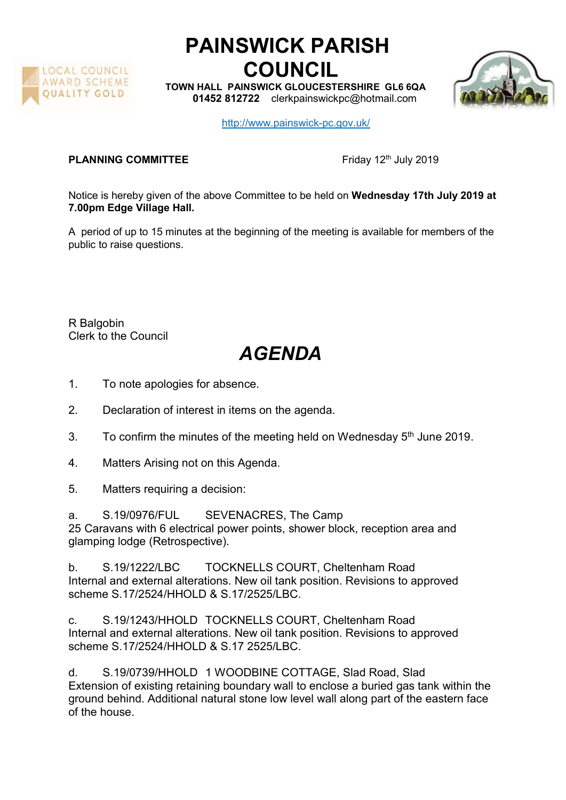

## PAINSWICK PARISH COUNCIL

TOWN HALL PAINSWICK GLOUCESTERSHIRE GL6 6QA 01452 812722 clerkpainswickpc@hotmail.com



http://www.painswick-pc.gov.uk/

## **PLANNING COMMITTEE** Friday 12<sup>th</sup> July 2019

Notice is hereby given of the above Committee to be held on Wednesday 17th July 2019 at 7.00pm Edge Village Hall.

A period of up to 15 minutes at the beginning of the meeting is available for members of the public to raise questions.

R Balgobin Clerk to the Council

## AGENDA

- 1. To note apologies for absence.
- 2. Declaration of interest in items on the agenda.
- 3. To confirm the minutes of the meeting held on Wednesday  $5<sup>th</sup>$  June 2019.
- 4. Matters Arising not on this Agenda.
- 5. Matters requiring a decision:

a. S.19/0976/FUL SEVENACRES, The Camp 25 Caravans with 6 electrical power points, shower block, reception area and glamping lodge (Retrospective).

b. S.19/1222/LBC TOCKNELLS COURT, Cheltenham Road Internal and external alterations. New oil tank position. Revisions to approved scheme S.17/2524/HHOLD & S.17/2525/LBC.

c. S.19/1243/HHOLD TOCKNELLS COURT, Cheltenham Road Internal and external alterations. New oil tank position. Revisions to approved scheme S.17/2524/HHOLD & S.17 2525/LBC.

d. S.19/0739/HHOLD 1 WOODBINE COTTAGE, Slad Road, Slad Extension of existing retaining boundary wall to enclose a buried gas tank within the ground behind. Additional natural stone low level wall along part of the eastern face of the house.